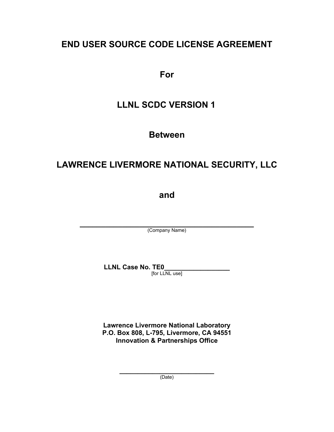# **END USER SOURCE CODE LICENSE AGREEMENT**

**For** 

# **LLNL SCDC VERSION 1**

**Between** 

# **LAWRENCE LIVERMORE NATIONAL SECURITY, LLC**

**and** 

**\_\_\_\_\_\_\_\_\_\_\_\_\_\_\_\_\_\_\_\_\_\_\_\_\_\_\_\_\_\_\_\_\_\_\_\_\_\_\_\_\_** (Company Name)

**LLNL Case No. TE0\_\_\_\_\_\_\_\_\_\_\_\_\_\_\_\_\_\_** 

[for LLNL use]

**Lawrence Livermore National Laboratory P.O. Box 808, L-795, Livermore, CA 94551 Innovation & Partnerships Office** 

> **\_\_\_\_\_\_\_\_\_\_\_\_\_\_\_\_\_\_\_\_\_\_\_\_\_\_** (Date)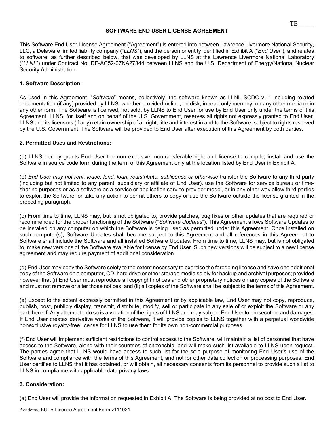#### **SOFTWARE END USER LICENSE AGREEMENT**

This Software End User License Agreement ("Agreement") is entered into between Lawrence Livermore National Security, LLC, a Delaware limited liability company ("*LLNS*"), and the person or entity identified in Exhibit A ("*End User*"), and relates to software, as further described below, that was developed by LLNS at the Lawrence Livermore National Laboratory ("*LLNL*") under Contract No. DE-AC52-07NA27344 between LLNS and the U.S. Department of Energy/National Nuclear Security Administration.

## **1. Software Description:**

As used in this Agreement, "*Software*" means, collectively, the software known as LLNL SCDC v. 1 including related documentation (if any) provided by LLNS, whether provided online, on disk, in read only memory, on any other media or in any other form. The Software is licensed, not sold, by LLNS to End User for use by End User only under the terms of this Agreement. LLNS, for itself and on behalf of the U.S. Government, reserves all rights not expressly granted to End User. LLNS and its licensors (if any) retain ownership of all right, title and interest in and to the Software, subject to rights reserved by the U.S. Government. The Software will be provided to End User after execution of this Agreement by both parties.

## **2. Permitted Uses and Restrictions:**

(a) LLNS hereby grants End User the non-exclusive, nontransferable right and license to compile, install and use the Software in source code form during the term of this Agreement only at the location listed by End User in Exhibit A.

(b) *End User may not rent, lease, lend, loan, redistribute, sublicense or otherwise* transfer the Software to any third party (including but not limited to any parent, subsidiary or affiliate of End User), use the Software for service bureau or timesharing purposes or as a software as a service or application service provider model, or in any other way allow third parties to exploit the Software, or take any action to permit others to copy or use the Software outside the license granted in the preceding paragraph.

(c) From time to time, LLNS may, but is not obligated to, provide patches, bug fixes or other updates that are required or recommended for the proper functioning of the Software ("*Software Updates*"). This Agreement allows Software Updates to be installed on any computer on which the Software is being used as permitted under this Agreement. Once installed on such computer(s), Software Updates shall become subject to this Agreement and all references in this Agreement to Software shall include the Software and all installed Software Updates. From time to time, LLNS may, but is not obligated to, make new versions of the Software available for license by End User. Such new versions will be subject to a new license agreement and may require payment of additional consideration.

(d) End User may copy the Software solely to the extent necessary to exercise the foregoing license and save one additional copy of the Software on a computer, CD, hard drive or other storage media solely for backup and archival purposes; provided however that (i) End User must reproduce all copyright notices and other proprietary notices on any copies of the Software and must not remove or alter those notices; and (ii) all copies of the Software shall be subject to the terms of this Agreement.

(e) Except to the extent expressly permitted in this Agreement or by applicable law, End User may not copy, reproduce, publish, post, publicly display, transmit, distribute, modify, sell or participate in any sale of or exploit the Software or any part thereof. Any attempt to do so is a violation of the rights of LLNS and may subject End User to prosecution and damages. If End User creates derivative works of the Software, it will provide copies to LLNS together with a perpetual worldwide nonexclusive royalty-free license for LLNS to use them for its own non-commercial purposes.

(f) End User will implement sufficient restrictions to control access to the Software, will maintain a list of personnel that have access to the Software, along with their countries of citizenship, and will make such list available to LLNS upon request. The parties agree that LLNS would have access to such list for the sole purpose of monitoring End User's use of the Software and compliance with the terms of this Agreement, and not for other data collection or processing purposes. End User certifies to LLNS that it has obtained, or will obtain, all necessary consents from its personnel to provide such a list to LLNS in compliance with applicable data privacy laws.

#### **3. Consideration:**

(a) End User will provide the information requested in Exhibit A. The Software is being provided at no cost to End User.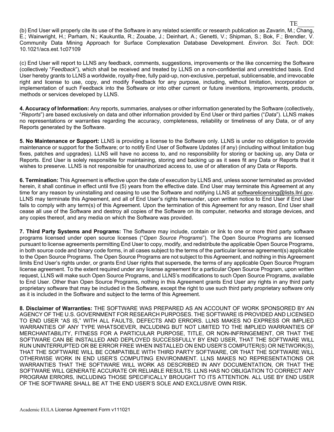(b) End User will properly cite its use of the Software in any related scientific or research publication as Zavarin, M.; Chang, E.; Wainwright, H.; Parham, N.; Kaukuntla, R.; Zouabe, J.; Deinhart, A.; Genetti, V.; Shipman, S.; Bok, F.; Brendler, V. Community Data Mining Approach for Surface Complexation Database Development. *Environ. Sci. Tech.* DOI: 10.1021/acs.est.1c07109

(c) End User will report to LLNS any feedback, comments, suggestions, improvements or the like concerning the Software (collectively "*Feedback*"), which shall be received and treated by LLNS on a non-confidential and unrestricted basis. End User hereby grants to LLNS a worldwide, royalty-free, fully paid-up, non-exclusive, perpetual, sublicensable, and irrevocable right and license to use, copy, and modify Feedback for any purpose, including, without limitation, incorporation or implementation of such Feedback into the Software or into other current or future inventions, improvements, products, methods or services developed by LLNS.

**4. Accuracy of Information:** Any reports, summaries, analyses or other information generated by the Software (collectively, "*Reports*") are based exclusively on data and other information provided by End User or third parties ("*Data*"). LLNS makes no representations or warranties regarding the accuracy, completeness, reliability or timeliness of any Data, or of any Reports generated by the Software.

**5. No Maintenance or Support:** LLNS is providing a license to the Software only. LLNS is under no obligation to provide maintenance or support for the Software; or to notify End User of Software Updates (if any) (including without limitation bug fixes, patches and upgrades). LLNS will have no access to, and no responsibility for storing or backing up, any Data or Reports. End User is solely responsible for maintaining, storing and backing up as it sees fit any Data or Reports that it wishes to preserve. LLNS is not responsible for unauthorized access to, use of or alteration of any Data or Reports.

**6. Termination:** This Agreement is effective upon the date of execution by LLNS and, unless sooner terminated as provided herein, it shall continue in effect until five (5) years from the effective date. End User may terminate this Agreement at any time for any reason by uninstalling and ceasing to use the Software and notifying LLNS at softwarelicensing@lists.llnl.gov. LLNS may terminate this Agreement, and all of End User's rights hereunder, upon written notice to End User if End User fails to comply with any term(s) of this Agreement. Upon the termination of this Agreement for any reason, End User shall cease all use of the Software and destroy all copies of the Software on its computer, networks and storage devices, and any copies thereof, and any media on which the Software was provided.

**7. Third Party Systems and Programs:** The Software may include, contain or link to one or more third party software programs licensed under open source licenses ("*Open Source Programs*"). The Open Source Programs are licensed pursuant to license agreements permitting End User to copy, modify, and redistribute the applicable Open Source Programs, in both source code and binary code forms, in all cases subject to the terms of the particular license agreement(s) applicable to the Open Source Programs. The Open Source Programs are not subject to this Agreement, and nothing in this Agreement limits End User's rights under, or grants End User rights that supersede, the terms of any applicable Open Source Program license agreement. To the extent required under any license agreement for a particular Open Source Program, upon written request, LLNS will make such Open Source Programs, and LLNS's modifications to such Open Source Programs, available to End User. Other than Open Source Programs, nothing in this Agreement grants End User any rights in any third party proprietary software that may be included in the Software, except the right to use such third party proprietary software only as it is included in the Software and subject to the terms of this Agreement.

**8. Disclaimer of Warranties:** THE SOFTWARE WAS PREPARED AS AN ACCOUNT OF WORK SPONSORED BY AN AGENCY OF THE U.S. GOVERNMENT FOR RESEARCH PURPOSES. THE SOFTWARE IS PROVIDED AND LICENSED TO END USER "AS IS," WITH ALL FAULTS, DEFECTS AND ERRORS. LLNS MAKES NO EXPRESS OR IMPLIED WARRANTIES OF ANY TYPE WHATSOEVER, INCLUDING BUT NOT LIMITED TO THE IMPLIED WARRANTIES OF MERCHANTABILITY, FITNESS FOR A PARTICULAR PURPOSE, TITLE, OR NON-INFRINGEMENT, OR THAT THE SOFTWARE CAN BE INSTALLED AND DEPLOYED SUCCESSFULLY BY END USER, THAT THE SOFTWARE WILL RUN UNINTERRUPTED OR BE ERROR FREE WHEN INSTALLED ON END USER'S COMPUTER(S) OR NETWORK(S), THAT THE SOFTWARE WILL BE COMPATIBLE WITH THIRD PARTY SOFTWARE, OR THAT THE SOFTWARE WILL OTHERWISE WORK IN END USER'S COMPUTING ENVIRONMENT. LLNS MAKES NO REPRESENTATIONS OR WARRANTIES THAT THE SOFTWARE WILL WORK AS DESCRIBED IN ANY DOCUMENTATION, OR THAT THE SOFTWARE WILL GENERATE ACCURATE OR RELIABLE RESULTS. LLNS HAS NO OBLIGATION TO CORRECT ANY PROGRAM ERRORS, INCLUDING THOSE SPECIFICALLY BROUGHT TO ITS ATTENTION. ALL USE BY END USER OF THE SOFTWARE SHALL BE AT THE END USER'S SOLE AND EXCLUSIVE OWN RISK.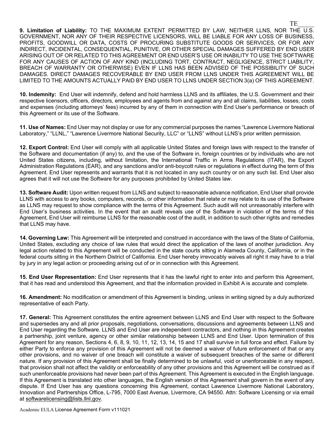**9. Limitation of Liability:** TO THE MAXIMUM EXTENT PERMITTED BY LAW, NEITHER LLNS, NOR THE U.S. GOVERNMENT, NOR ANY OF THEIR RESPECTIVE LICENSORS, WILL BE LIABLE FOR ANY LOSS OF BUSINESS, PROFITS, GOODWILL OR DATA, COSTS OF PROCURING SUBSTITUTE GOODS OR SERVICES, OR FOR ANY INDIRECT, INCIDENTAL, CONSEQUENTIAL, PUNITIVE, OR OTHER SPECIAL DAMAGES SUFFERED BY END USER ARISING OUT OF OR RELATED TO THIS AGREEMENT OR END USER'S USE OR INABILITY TO USE THE SOFTWARE FOR ANY CAUSES OF ACTION OF ANY KIND (INCLUDING TORT, CONTRACT, NEGLIGENCE, STRICT LIABILITY, BREACH OF WARRANTY OR OTHERWISE) EVEN IF LLNS HAS BEEN ADVISED OF THE POSSIBILITY OF SUCH DAMAGES. DIRECT DAMAGES RECOVERABLE BY END USER FROM LLNS UNDER THIS AGREEMENT WILL BE LIMITED TO THE AMOUNTS ACTUALLY PAID BY END USER TO LLNS UNDER SECTION 3(a) OF THIS AGREEMENT.

**10. Indemnity:** End User will indemnify, defend and hold harmless LLNS and its affiliates, the U.S. Government and their respective licensors, officers, directors, employees and agents from and against any and all claims, liabilities, losses, costs and expenses (including attorneys' fees) incurred by any of them in connection with End User's performance or breach of this Agreement or its use of the Software.

**11. Use of Names:** End User may not display or use for any commercial purposes the names "Lawrence Livermore National Laboratory," "LLNL," "Lawrence Livermore National Security, LLC" or "LLNS" without LLNS's prior written permission.

**12. Export Control:** End User will comply with all applicable United States and foreign laws with respect to the transfer of the Software and documentation (if any) to, and the use of the Software in, foreign countries or by individuals who are not United States citizens, including, without limitation, the International Traffic in Arms Regulations (ITAR), the Export Administration Regulations (EAR), and any sanctions and/or anti-boycott rules or regulations in effect during the term of this Agreement. End User represents and warrants that it is not located in any such country or on any such list. End User also agrees that it will not use the Software for any purposes prohibited by United States law.

**13. Software Audit:** Upon written request from LLNS and subject to reasonable advance notification, End User shall provide LLNS with access to any books, computers, records, or other information that relate or may relate to its use of the Software as LLNS may request to show compliance with the terms of this Agreement. Such audit will not unreasonably interfere with End User's business activities. In the event that an audit reveals use of the Software in violation of the terms of this Agreement, End User will reimburse LLNS for the reasonable cost of the audit, in addition to such other rights and remedies that LLNS may have.

**14. Governing Law:** This Agreement will be interpreted and construed in accordance with the laws of the State of California, United States, excluding any choice of law rules that would direct the application of the laws of another jurisdiction. Any legal action related to this Agreement will be conducted in the state courts sitting in Alameda County, California, or in the federal courts sitting in the Northern District of California. End User hereby irrevocably waives all right it may have to a trial by jury in any legal action or proceeding arising out of or in connection with this Agreement.

**15. End User Representation:** End User represents that it has the lawful right to enter into and perform this Agreement, that it has read and understood this Agreement, and that the information provided in Exhibit A is accurate and complete.

**16. Amendment:** No modification or amendment of this Agreement is binding, unless in writing signed by a duly authorized representative of each Party.

**17. General:** This Agreement constitutes the entire agreement between LLNS and End User with respect to the Software and supersedes any and all prior proposals, negotiations, conversations, discussions and agreements between LLNS and End User regarding the Software. LLNS and End User are independent contractors, and nothing in this Agreement creates a partnership, joint venture, agency or other similar relationship between LLNS and End User. Upon termination of this Agreement for any reason, Sections 4, 6, 8, 9, 10, 11, 12, 13, 14, 15 and 17 shall survive in full force and effect. Failure by either Party to enforce any provision of this Agreement will not be deemed a waiver of future enforcement of that or any other provisions, and no waiver of one breach will constitute a waiver of subsequent breaches of the same or different nature. If any provision of this Agreement shall be finally determined to be unlawful, void or unenforceable in any respect, that provision shall not affect the validity or enforceability of any other provisions and this Agreement will be construed as if such unenforceable provisions had never been part of this Agreement. This Agreement is executed in the English language. If this Agreement is translated into other languages, the English version of this Agreement shall govern in the event of any dispute. If End User has any questions concerning this Agreement, contact Lawrence Livermore National Laboratory, Innovation and Partnerships Office, L-795, 7000 East Avenue, Livermore, CA 94550. Attn: Software Licensing or via email at softwarelicensing@lists.llnl.gov.

Academic EULA License Agreement Form v111021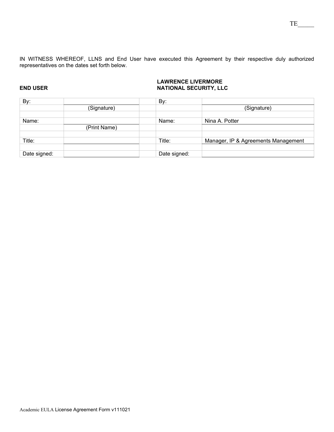IN WITNESS WHEREOF, LLNS and End User have executed this Agreement by their respective duly authorized representatives on the dates set forth below.

### **LAWRENCE LIVERMORE END USER NATIONAL SECURITY, LLC**

| By:          |              | By:          |                                     |
|--------------|--------------|--------------|-------------------------------------|
|              | (Signature)  |              | (Signature)                         |
|              |              |              |                                     |
| Name:        |              | Name:        | Nina A. Potter                      |
|              | (Print Name) |              |                                     |
|              |              |              |                                     |
| Title:       |              | Title:       | Manager, IP & Agreements Management |
|              |              |              |                                     |
| Date signed: |              | Date signed: |                                     |